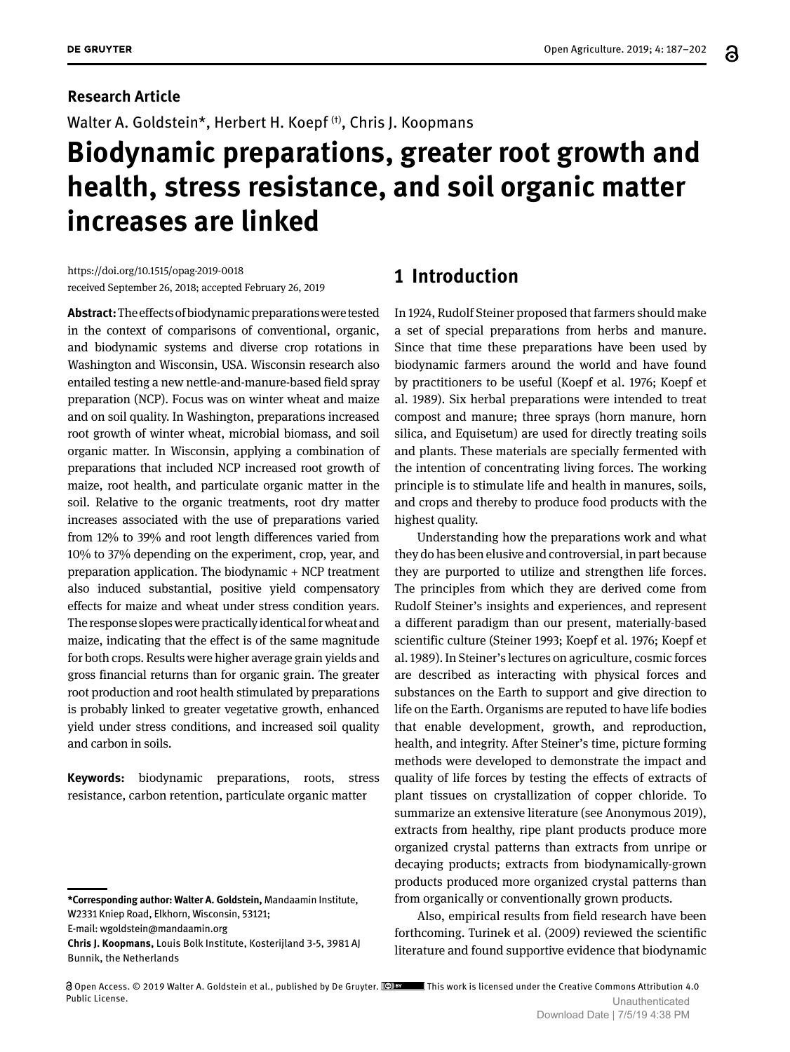#### **Research Article**

Walter A. Goldstein\*, Herbert H. Koepf (†), Chris J. Koopmans

# **Biodynamic preparations, greater root growth and health, stress resistance, and soil organic matter increases are linked**

https://doi.org/10.1515/opag-2019-0018 received September 26, 2018; accepted February 26, 2019

**Abstract:** The effects of biodynamic preparations were tested in the context of comparisons of conventional, organic, and biodynamic systems and diverse crop rotations in Washington and Wisconsin, USA. Wisconsin research also entailed testing a new nettle-and-manure-based field spray preparation (NCP). Focus was on winter wheat and maize and on soil quality. In Washington, preparations increased root growth of winter wheat, microbial biomass, and soil organic matter. In Wisconsin, applying a combination of preparations that included NCP increased root growth of maize, root health, and particulate organic matter in the soil. Relative to the organic treatments, root dry matter increases associated with the use of preparations varied from 12% to 39% and root length differences varied from 10% to 37% depending on the experiment, crop, year, and preparation application. The biodynamic + NCP treatment also induced substantial, positive yield compensatory effects for maize and wheat under stress condition years. The response slopes were practically identical for wheat and maize, indicating that the effect is of the same magnitude for both crops. Results were higher average grain yields and gross financial returns than for organic grain. The greater root production and root health stimulated by preparations is probably linked to greater vegetative growth, enhanced yield under stress conditions, and increased soil quality and carbon in soils.

**Keywords:** biodynamic preparations, roots, stress resistance, carbon retention, particulate organic matter

E-mail: wgoldstein@mandaamin.org

## **1 Introduction**

In 1924, Rudolf Steiner proposed that farmers should make a set of special preparations from herbs and manure. Since that time these preparations have been used by biodynamic farmers around the world and have found by practitioners to be useful (Koepf et al. 1976; Koepf et al. 1989). Six herbal preparations were intended to treat compost and manure; three sprays (horn manure, horn silica, and Equisetum) are used for directly treating soils and plants. These materials are specially fermented with the intention of concentrating living forces. The working principle is to stimulate life and health in manures, soils, and crops and thereby to produce food products with the highest quality.

Understanding how the preparations work and what they do has been elusive and controversial, in part because they are purported to utilize and strengthen life forces. The principles from which they are derived come from Rudolf Steiner's insights and experiences, and represent a different paradigm than our present, materially-based scientific culture (Steiner 1993; Koepf et al. 1976; Koepf et al. 1989). In Steiner's lectures on agriculture, cosmic forces are described as interacting with physical forces and substances on the Earth to support and give direction to life on the Earth. Organisms are reputed to have life bodies that enable development, growth, and reproduction, health, and integrity. After Steiner's time, picture forming methods were developed to demonstrate the impact and quality of life forces by testing the effects of extracts of plant tissues on crystallization of copper chloride. To summarize an extensive literature (see Anonymous 2019), extracts from healthy, ripe plant products produce more organized crystal patterns than extracts from unripe or decaying products; extracts from biodynamically-grown products produced more organized crystal patterns than from organically or conventionally grown products.

Also, empirical results from field research have been forthcoming. Turinek et al. (2009) reviewed the scientific literature and found supportive evidence that biodynamic

**<sup>\*</sup>Corresponding author: Walter A. Goldstein,** Mandaamin Institute, W2331 Kniep Road, Elkhorn, Wisconsin, 53121;

**Chris J. Koopmans,** Louis Bolk Institute, Kosterijland 3-5, 3981 AJ Bunnik, the Netherlands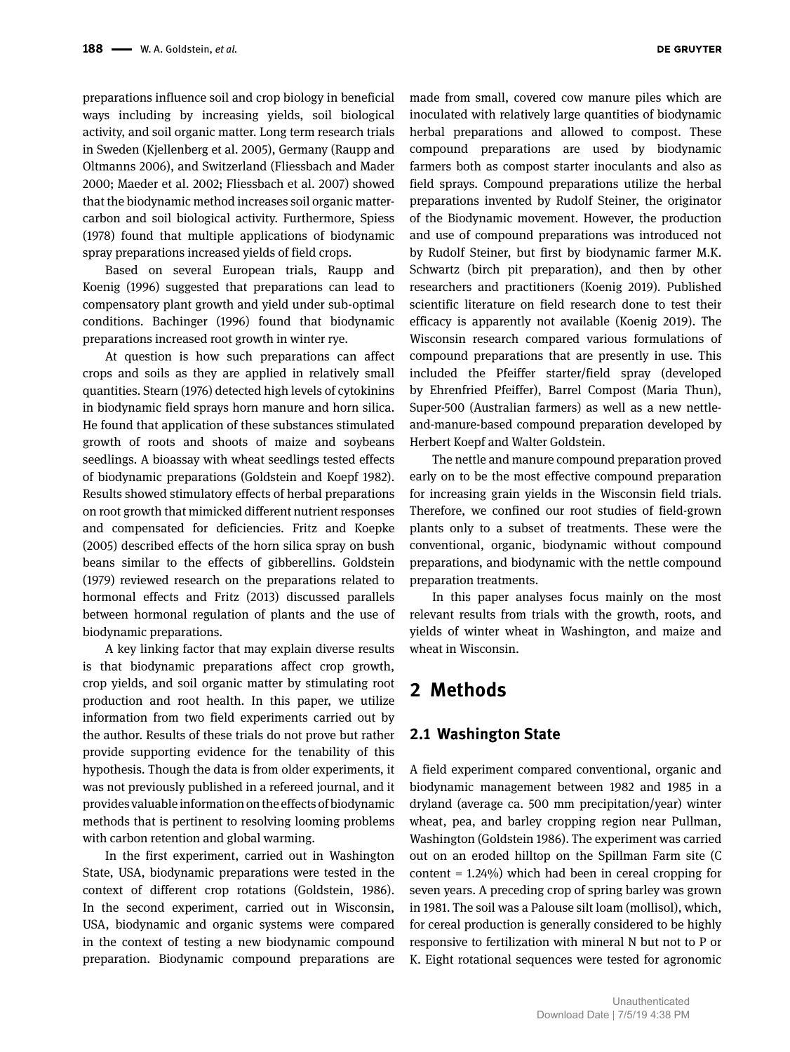preparations influence soil and crop biology in beneficial ways including by increasing yields, soil biological activity, and soil organic matter. Long term research trials in Sweden (Kjellenberg et al. 2005), Germany (Raupp and Oltmanns 2006), and Switzerland (Fliessbach and Mader 2000; Maeder et al. 2002; Fliessbach et al. 2007) showed that the biodynamic method increases soil organic mattercarbon and soil biological activity. Furthermore, Spiess (1978) found that multiple applications of biodynamic spray preparations increased yields of field crops.

Based on several European trials, Raupp and Koenig (1996) suggested that preparations can lead to compensatory plant growth and yield under sub-optimal conditions. Bachinger (1996) found that biodynamic preparations increased root growth in winter rye.

At question is how such preparations can affect crops and soils as they are applied in relatively small quantities. Stearn (1976) detected high levels of cytokinins in biodynamic field sprays horn manure and horn silica. He found that application of these substances stimulated growth of roots and shoots of maize and soybeans seedlings. A bioassay with wheat seedlings tested effects of biodynamic preparations (Goldstein and Koepf 1982). Results showed stimulatory effects of herbal preparations on root growth that mimicked different nutrient responses and compensated for deficiencies. Fritz and Koepke (2005) described effects of the horn silica spray on bush beans similar to the effects of gibberellins. Goldstein (1979) reviewed research on the preparations related to hormonal effects and Fritz (2013) discussed parallels between hormonal regulation of plants and the use of biodynamic preparations.

A key linking factor that may explain diverse results is that biodynamic preparations affect crop growth, crop yields, and soil organic matter by stimulating root production and root health. In this paper, we utilize information from two field experiments carried out by the author. Results of these trials do not prove but rather provide supporting evidence for the tenability of this hypothesis. Though the data is from older experiments, it was not previously published in a refereed journal, and it provides valuable information on the effects of biodynamic methods that is pertinent to resolving looming problems with carbon retention and global warming.

In the first experiment, carried out in Washington State, USA, biodynamic preparations were tested in the context of different crop rotations (Goldstein, 1986). In the second experiment, carried out in Wisconsin, USA, biodynamic and organic systems were compared in the context of testing a new biodynamic compound preparation. Biodynamic compound preparations are

made from small, covered cow manure piles which are inoculated with relatively large quantities of biodynamic herbal preparations and allowed to compost. These compound preparations are used by biodynamic farmers both as compost starter inoculants and also as field sprays. Compound preparations utilize the herbal preparations invented by Rudolf Steiner, the originator of the Biodynamic movement. However, the production and use of compound preparations was introduced not by Rudolf Steiner, but first by biodynamic farmer M.K. Schwartz (birch pit preparation), and then by other researchers and practitioners (Koenig 2019). Published scientific literature on field research done to test their efficacy is apparently not available (Koenig 2019). The Wisconsin research compared various formulations of compound preparations that are presently in use. This included the Pfeiffer starter/field spray (developed by Ehrenfried Pfeiffer), Barrel Compost (Maria Thun), Super-500 (Australian farmers) as well as a new nettleand-manure-based compound preparation developed by

The nettle and manure compound preparation proved early on to be the most effective compound preparation for increasing grain yields in the Wisconsin field trials. Therefore, we confined our root studies of field-grown plants only to a subset of treatments. These were the conventional, organic, biodynamic without compound preparations, and biodynamic with the nettle compound preparation treatments.

Herbert Koepf and Walter Goldstein.

In this paper analyses focus mainly on the most relevant results from trials with the growth, roots, and yields of winter wheat in Washington, and maize and wheat in Wisconsin.

# **2 Methods**

#### **2.1 Washington State**

A field experiment compared conventional, organic and biodynamic management between 1982 and 1985 in a dryland (average ca. 500 mm precipitation/year) winter wheat, pea, and barley cropping region near Pullman, Washington (Goldstein 1986). The experiment was carried out on an eroded hilltop on the Spillman Farm site (C content = 1.24%) which had been in cereal cropping for seven years. A preceding crop of spring barley was grown in 1981. The soil was a Palouse silt loam (mollisol), which, for cereal production is generally considered to be highly responsive to fertilization with mineral N but not to P or K. Eight rotational sequences were tested for agronomic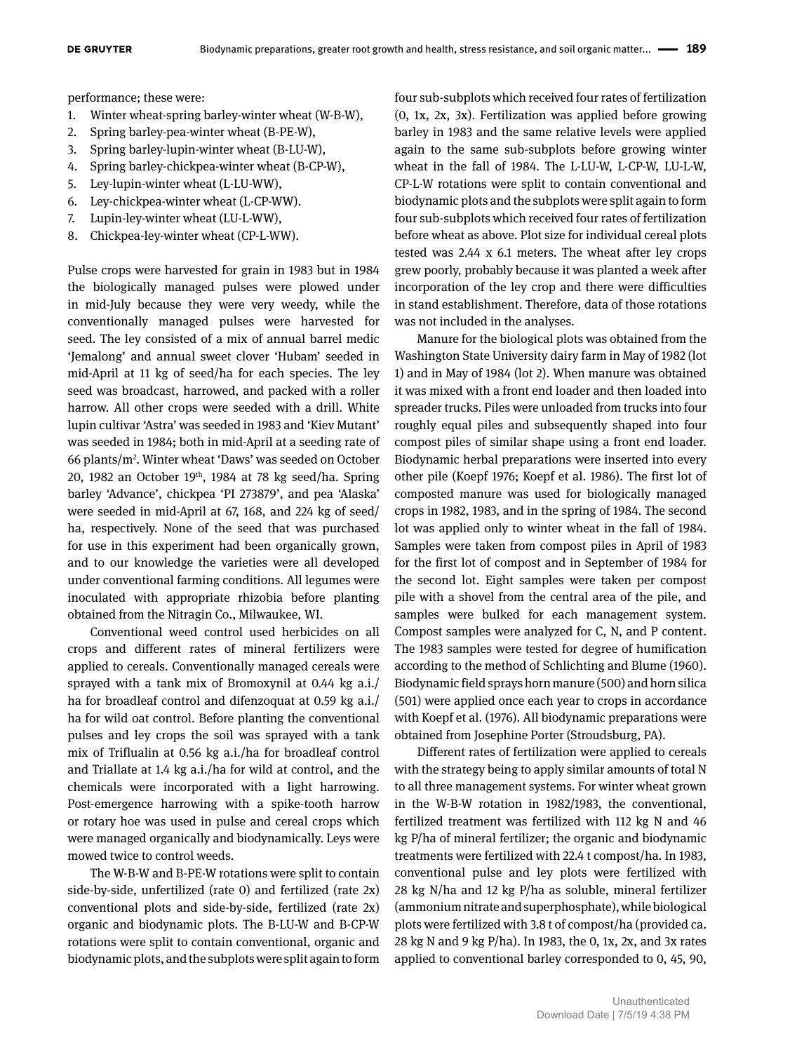performance; these were:

- 1. Winter wheat-spring barley-winter wheat (W-B-W),
- 2. Spring barley-pea-winter wheat (B-PE-W),
- 3. Spring barley-lupin-winter wheat (B-LU-W),
- 4. Spring barley-chickpea-winter wheat (B-CP-W),
- 5. Ley-lupin-winter wheat (L-LU-WW),
- 6. Ley-chickpea-winter wheat (L-CP-WW).
- 7. Lupin-ley-winter wheat (LU-L-WW),
- 8. Chickpea-ley-winter wheat (CP-L-WW).

Pulse crops were harvested for grain in 1983 but in 1984 the biologically managed pulses were plowed under in mid-July because they were very weedy, while the conventionally managed pulses were harvested for seed. The ley consisted of a mix of annual barrel medic 'Jemalong' and annual sweet clover 'Hubam' seeded in mid-April at 11 kg of seed/ha for each species. The ley seed was broadcast, harrowed, and packed with a roller harrow. All other crops were seeded with a drill. White lupin cultivar 'Astra' was seeded in 1983 and 'Kiev Mutant' was seeded in 1984; both in mid-April at a seeding rate of 66 plants/m2 . Winter wheat 'Daws' was seeded on October 20, 1982 an October 19th, 1984 at 78 kg seed/ha. Spring barley 'Advance', chickpea 'PI 273879', and pea 'Alaska' were seeded in mid-April at 67, 168, and 224 kg of seed/ ha, respectively. None of the seed that was purchased for use in this experiment had been organically grown, and to our knowledge the varieties were all developed under conventional farming conditions. All legumes were inoculated with appropriate rhizobia before planting obtained from the Nitragin Co., Milwaukee, WI.

Conventional weed control used herbicides on all crops and different rates of mineral fertilizers were applied to cereals. Conventionally managed cereals were sprayed with a tank mix of Bromoxynil at 0.44 kg a.i./ ha for broadleaf control and difenzoquat at 0.59 kg a.i./ ha for wild oat control. Before planting the conventional pulses and ley crops the soil was sprayed with a tank mix of Triflualin at 0.56 kg a.i./ha for broadleaf control and Triallate at 1.4 kg a.i./ha for wild at control, and the chemicals were incorporated with a light harrowing. Post-emergence harrowing with a spike-tooth harrow or rotary hoe was used in pulse and cereal crops which were managed organically and biodynamically. Leys were mowed twice to control weeds.

The W-B-W and B-PE-W rotations were split to contain side-by-side, unfertilized (rate 0) and fertilized (rate 2x) conventional plots and side-by-side, fertilized (rate 2x) organic and biodynamic plots. The B-LU-W and B-CP-W rotations were split to contain conventional, organic and biodynamic plots, and the subplots were split again to form

four sub-subplots which received four rates of fertilization (0, 1x, 2x, 3x). Fertilization was applied before growing barley in 1983 and the same relative levels were applied again to the same sub-subplots before growing winter wheat in the fall of 1984. The L-LU-W, L-CP-W, LU-L-W, CP-L-W rotations were split to contain conventional and biodynamic plots and the subplots were split again to form four sub-subplots which received four rates of fertilization before wheat as above. Plot size for individual cereal plots tested was 2.44 x 6.1 meters. The wheat after ley crops grew poorly, probably because it was planted a week after incorporation of the ley crop and there were difficulties in stand establishment. Therefore, data of those rotations was not included in the analyses.

Manure for the biological plots was obtained from the Washington State University dairy farm in May of 1982 (lot 1) and in May of 1984 (lot 2). When manure was obtained it was mixed with a front end loader and then loaded into spreader trucks. Piles were unloaded from trucks into four roughly equal piles and subsequently shaped into four compost piles of similar shape using a front end loader. Biodynamic herbal preparations were inserted into every other pile (Koepf 1976; Koepf et al. 1986). The first lot of composted manure was used for biologically managed crops in 1982, 1983, and in the spring of 1984. The second lot was applied only to winter wheat in the fall of 1984. Samples were taken from compost piles in April of 1983 for the first lot of compost and in September of 1984 for the second lot. Eight samples were taken per compost pile with a shovel from the central area of the pile, and samples were bulked for each management system. Compost samples were analyzed for C, N, and P content. The 1983 samples were tested for degree of humification according to the method of Schlichting and Blume (1960). Biodynamic field sprays horn manure (500) and horn silica (501) were applied once each year to crops in accordance with Koepf et al. (1976). All biodynamic preparations were obtained from Josephine Porter (Stroudsburg, PA).

Different rates of fertilization were applied to cereals with the strategy being to apply similar amounts of total N to all three management systems. For winter wheat grown in the W-B-W rotation in 1982/1983, the conventional, fertilized treatment was fertilized with 112 kg N and 46 kg P/ha of mineral fertilizer; the organic and biodynamic treatments were fertilized with 22.4 t compost/ha. In 1983, conventional pulse and ley plots were fertilized with 28 kg N/ha and 12 kg P/ha as soluble, mineral fertilizer (ammonium nitrate and superphosphate), while biological plots were fertilized with 3.8 t of compost/ha (provided ca. 28 kg N and 9 kg P/ha). In 1983, the 0, 1x, 2x, and 3x rates applied to conventional barley corresponded to 0, 45, 90,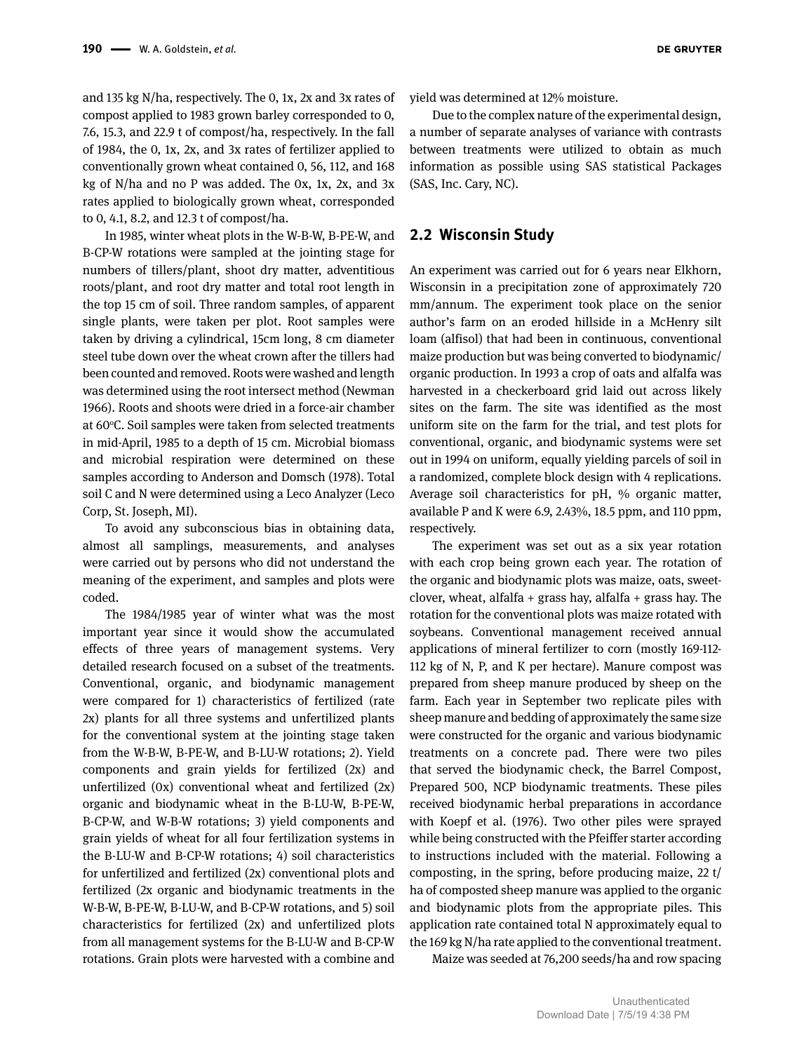and 135 kg N/ha, respectively. The 0, 1x, 2x and 3x rates of compost applied to 1983 grown barley corresponded to 0, 7.6, 15.3, and 22.9 t of compost/ha, respectively. In the fall of 1984, the 0, 1x, 2x, and 3x rates of fertilizer applied to conventionally grown wheat contained 0, 56, 112, and 168 kg of N/ha and no P was added. The 0x, 1x, 2x, and 3x rates applied to biologically grown wheat, corresponded to 0, 4.1, 8.2, and 12.3 t of compost/ha.

In 1985, winter wheat plots in the W-B-W, B-PE-W, and B-CP-W rotations were sampled at the jointing stage for numbers of tillers/plant, shoot dry matter, adventitious roots/plant, and root dry matter and total root length in the top 15 cm of soil. Three random samples, of apparent single plants, were taken per plot. Root samples were taken by driving a cylindrical, 15cm long, 8 cm diameter steel tube down over the wheat crown after the tillers had been counted and removed. Roots were washed and length was determined using the root intersect method (Newman 1966). Roots and shoots were dried in a force-air chamber at 60°C. Soil samples were taken from selected treatments in mid-April, 1985 to a depth of 15 cm. Microbial biomass and microbial respiration were determined on these samples according to Anderson and Domsch (1978). Total soil C and N were determined using a Leco Analyzer (Leco Corp, St. Joseph, MI).

To avoid any subconscious bias in obtaining data, almost all samplings, measurements, and analyses were carried out by persons who did not understand the meaning of the experiment, and samples and plots were coded.

The 1984/1985 year of winter what was the most important year since it would show the accumulated effects of three years of management systems. Very detailed research focused on a subset of the treatments. Conventional, organic, and biodynamic management were compared for 1) characteristics of fertilized (rate 2x) plants for all three systems and unfertilized plants for the conventional system at the jointing stage taken from the W-B-W, B-PE-W, and B-LU-W rotations; 2). Yield components and grain yields for fertilized (2x) and unfertilized (0x) conventional wheat and fertilized (2x) organic and biodynamic wheat in the B-LU-W, B-PE-W, B-CP-W, and W-B-W rotations; 3) yield components and grain yields of wheat for all four fertilization systems in the B-LU-W and B-CP-W rotations; 4) soil characteristics for unfertilized and fertilized (2x) conventional plots and fertilized (2x organic and biodynamic treatments in the W-B-W, B-PE-W, B-LU-W, and B-CP-W rotations, and 5) soil characteristics for fertilized (2x) and unfertilized plots from all management systems for the B-LU-W and B-CP-W rotations. Grain plots were harvested with a combine and yield was determined at 12% moisture.

Due to the complex nature of the experimental design, a number of separate analyses of variance with contrasts between treatments were utilized to obtain as much information as possible using SAS statistical Packages (SAS, Inc. Cary, NC).

#### **2.2 Wisconsin Study**

An experiment was carried out for 6 years near Elkhorn, Wisconsin in a precipitation zone of approximately 720 mm/annum. The experiment took place on the senior author's farm on an eroded hillside in a McHenry silt loam (alfisol) that had been in continuous, conventional maize production but was being converted to biodynamic/ organic production. In 1993 a crop of oats and alfalfa was harvested in a checkerboard grid laid out across likely sites on the farm. The site was identified as the most uniform site on the farm for the trial, and test plots for conventional, organic, and biodynamic systems were set out in 1994 on uniform, equally yielding parcels of soil in a randomized, complete block design with 4 replications. Average soil characteristics for pH, % organic matter, available P and K were 6.9, 2.43%, 18.5 ppm, and 110 ppm, respectively.

The experiment was set out as a six year rotation with each crop being grown each year. The rotation of the organic and biodynamic plots was maize, oats, sweetclover, wheat, alfalfa  $+$  grass hay, alfalfa  $+$  grass hay. The rotation for the conventional plots was maize rotated with soybeans. Conventional management received annual applications of mineral fertilizer to corn (mostly 169-112- 112 kg of N, P, and K per hectare). Manure compost was prepared from sheep manure produced by sheep on the farm. Each year in September two replicate piles with sheep manure and bedding of approximately the same size were constructed for the organic and various biodynamic treatments on a concrete pad. There were two piles that served the biodynamic check, the Barrel Compost, Prepared 500, NCP biodynamic treatments. These piles received biodynamic herbal preparations in accordance with Koepf et al. (1976). Two other piles were sprayed while being constructed with the Pfeiffer starter according to instructions included with the material. Following a composting, in the spring, before producing maize, 22 t/ ha of composted sheep manure was applied to the organic and biodynamic plots from the appropriate piles. This application rate contained total N approximately equal to the 169 kg N/ha rate applied to the conventional treatment.

Maize was seeded at 76,200 seeds/ha and row spacing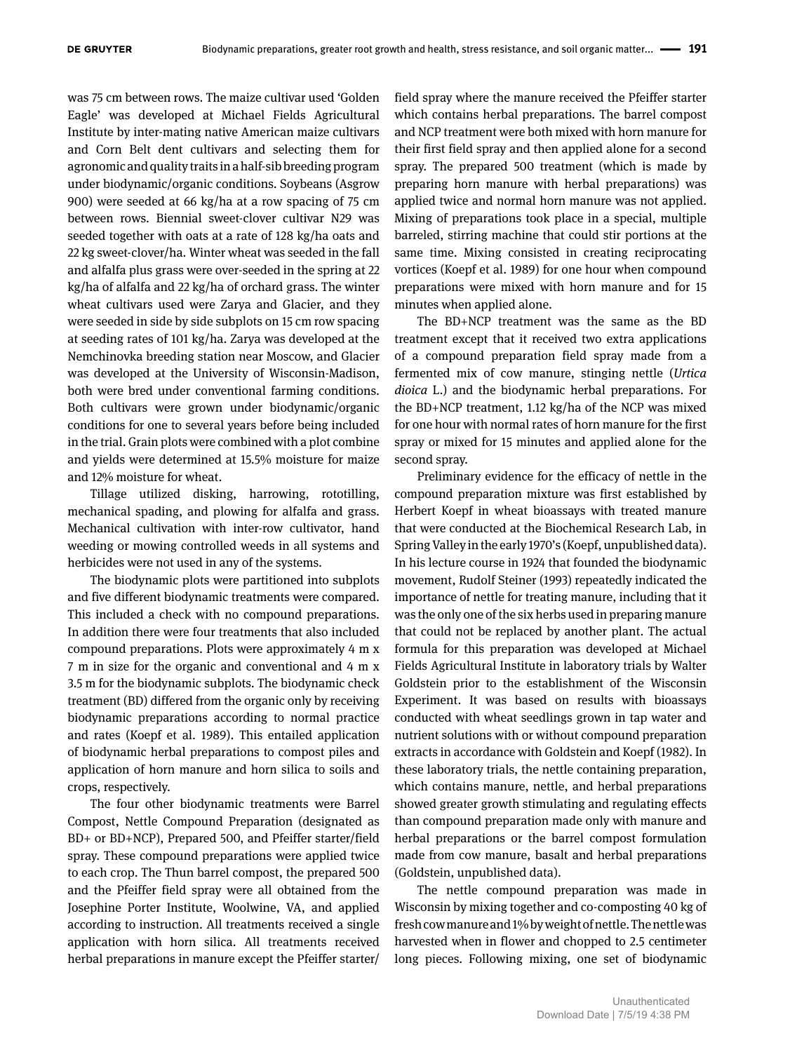was 75 cm between rows. The maize cultivar used 'Golden Eagle' was developed at Michael Fields Agricultural Institute by inter-mating native American maize cultivars and Corn Belt dent cultivars and selecting them for agronomic and quality traits in a half-sib breeding program under biodynamic/organic conditions. Soybeans (Asgrow 900) were seeded at 66 kg/ha at a row spacing of 75 cm between rows. Biennial sweet-clover cultivar N29 was seeded together with oats at a rate of 128 kg/ha oats and 22 kg sweet-clover/ha. Winter wheat was seeded in the fall and alfalfa plus grass were over-seeded in the spring at 22 kg/ha of alfalfa and 22 kg/ha of orchard grass. The winter wheat cultivars used were Zarya and Glacier, and they were seeded in side by side subplots on 15 cm row spacing at seeding rates of 101 kg/ha. Zarya was developed at the Nemchinovka breeding station near Moscow, and Glacier was developed at the University of Wisconsin-Madison, both were bred under conventional farming conditions. Both cultivars were grown under biodynamic/organic conditions for one to several years before being included in the trial. Grain plots were combined with a plot combine and yields were determined at 15.5% moisture for maize and 12% moisture for wheat.

Tillage utilized disking, harrowing, rototilling, mechanical spading, and plowing for alfalfa and grass. Mechanical cultivation with inter-row cultivator, hand weeding or mowing controlled weeds in all systems and herbicides were not used in any of the systems.

The biodynamic plots were partitioned into subplots and five different biodynamic treatments were compared. This included a check with no compound preparations. In addition there were four treatments that also included compound preparations. Plots were approximately 4 m x 7 m in size for the organic and conventional and 4 m x 3.5 m for the biodynamic subplots. The biodynamic check treatment (BD) differed from the organic only by receiving biodynamic preparations according to normal practice and rates (Koepf et al. 1989). This entailed application of biodynamic herbal preparations to compost piles and application of horn manure and horn silica to soils and crops, respectively.

The four other biodynamic treatments were Barrel Compost, Nettle Compound Preparation (designated as BD+ or BD+NCP), Prepared 500, and Pfeiffer starter/field spray. These compound preparations were applied twice to each crop. The Thun barrel compost, the prepared 500 and the Pfeiffer field spray were all obtained from the Josephine Porter Institute, Woolwine, VA, and applied according to instruction. All treatments received a single application with horn silica. All treatments received herbal preparations in manure except the Pfeiffer starter/

field spray where the manure received the Pfeiffer starter which contains herbal preparations. The barrel compost and NCP treatment were both mixed with horn manure for their first field spray and then applied alone for a second spray. The prepared 500 treatment (which is made by preparing horn manure with herbal preparations) was applied twice and normal horn manure was not applied. Mixing of preparations took place in a special, multiple barreled, stirring machine that could stir portions at the same time. Mixing consisted in creating reciprocating vortices (Koepf et al. 1989) for one hour when compound preparations were mixed with horn manure and for 15 minutes when applied alone.

The BD+NCP treatment was the same as the BD treatment except that it received two extra applications of a compound preparation field spray made from a fermented mix of cow manure, stinging nettle (*Urtica dioica* L.) and the biodynamic herbal preparations. For the BD+NCP treatment, 1.12 kg/ha of the NCP was mixed for one hour with normal rates of horn manure for the first spray or mixed for 15 minutes and applied alone for the second spray.

Preliminary evidence for the efficacy of nettle in the compound preparation mixture was first established by Herbert Koepf in wheat bioassays with treated manure that were conducted at the Biochemical Research Lab, in Spring Valley in the early 1970's (Koepf, unpublished data). In his lecture course in 1924 that founded the biodynamic movement, Rudolf Steiner (1993) repeatedly indicated the importance of nettle for treating manure, including that it was the only one of the six herbs used in preparing manure that could not be replaced by another plant. The actual formula for this preparation was developed at Michael Fields Agricultural Institute in laboratory trials by Walter Goldstein prior to the establishment of the Wisconsin Experiment. It was based on results with bioassays conducted with wheat seedlings grown in tap water and nutrient solutions with or without compound preparation extracts in accordance with Goldstein and Koepf (1982). In these laboratory trials, the nettle containing preparation, which contains manure, nettle, and herbal preparations showed greater growth stimulating and regulating effects than compound preparation made only with manure and herbal preparations or the barrel compost formulation made from cow manure, basalt and herbal preparations (Goldstein, unpublished data).

The nettle compound preparation was made in Wisconsin by mixing together and co-composting 40 kg of fresh cow manure and 1% by weight of nettle. The nettle was harvested when in flower and chopped to 2.5 centimeter long pieces. Following mixing, one set of biodynamic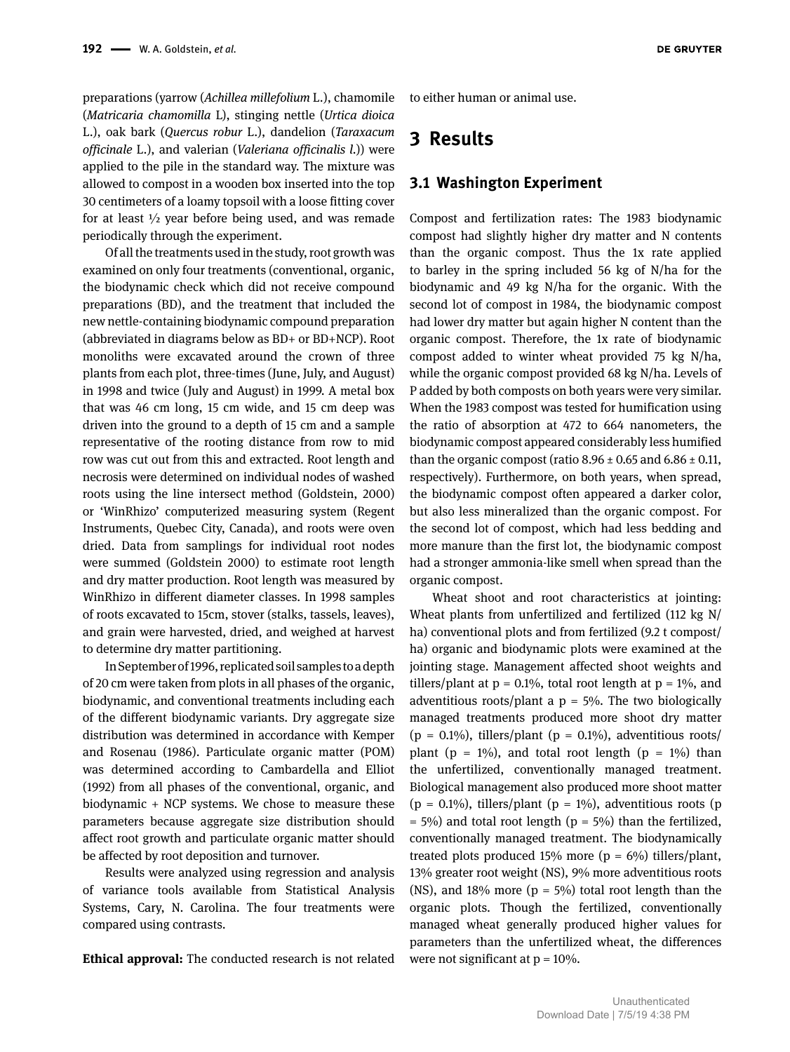preparations (yarrow (*Achillea millefolium* L.), chamomile (*Matricaria chamomilla* L), stinging nettle (*Urtica dioica* L.), oak bark (*Quercus robur* L.), dandelion (*Taraxacum officinale* L.), and valerian (*Valeriana officinalis l.*)) were applied to the pile in the standard way. The mixture was allowed to compost in a wooden box inserted into the top 30 centimeters of a loamy topsoil with a loose fitting cover for at least  $\frac{1}{2}$  year before being used, and was remade periodically through the experiment.

Of all the treatments used in the study, root growth was examined on only four treatments (conventional, organic, the biodynamic check which did not receive compound preparations (BD), and the treatment that included the new nettle-containing biodynamic compound preparation (abbreviated in diagrams below as BD+ or BD+NCP). Root monoliths were excavated around the crown of three plants from each plot, three-times (June, July, and August) in 1998 and twice (July and August) in 1999. A metal box that was 46 cm long, 15 cm wide, and 15 cm deep was driven into the ground to a depth of 15 cm and a sample representative of the rooting distance from row to mid row was cut out from this and extracted. Root length and necrosis were determined on individual nodes of washed roots using the line intersect method (Goldstein, 2000) or 'WinRhizo' computerized measuring system (Regent Instruments, Quebec City, Canada), and roots were oven dried. Data from samplings for individual root nodes were summed (Goldstein 2000) to estimate root length and dry matter production. Root length was measured by WinRhizo in different diameter classes. In 1998 samples of roots excavated to 15cm, stover (stalks, tassels, leaves), and grain were harvested, dried, and weighed at harvest to determine dry matter partitioning.

In September of 1996, replicated soil samples to a depth of 20 cm were taken from plots in all phases of the organic, biodynamic, and conventional treatments including each of the different biodynamic variants. Dry aggregate size distribution was determined in accordance with Kemper and Rosenau (1986). Particulate organic matter (POM) was determined according to Cambardella and Elliot (1992) from all phases of the conventional, organic, and biodynamic + NCP systems. We chose to measure these parameters because aggregate size distribution should affect root growth and particulate organic matter should be affected by root deposition and turnover.

Results were analyzed using regression and analysis of variance tools available from Statistical Analysis Systems, Cary, N. Carolina. The four treatments were compared using contrasts.

**Ethical approval:** The conducted research is not related

to either human or animal use.

# **3 Results**

#### **3.1 Washington Experiment**

Compost and fertilization rates: The 1983 biodynamic compost had slightly higher dry matter and N contents than the organic compost. Thus the 1x rate applied to barley in the spring included 56 kg of N/ha for the biodynamic and 49 kg N/ha for the organic. With the second lot of compost in 1984, the biodynamic compost had lower dry matter but again higher N content than the organic compost. Therefore, the 1x rate of biodynamic compost added to winter wheat provided 75 kg N/ha, while the organic compost provided 68 kg N/ha. Levels of P added by both composts on both years were very similar. When the 1983 compost was tested for humification using the ratio of absorption at 472 to 664 nanometers, the biodynamic compost appeared considerably less humified than the organic compost (ratio  $8.96 \pm 0.65$  and  $6.86 \pm 0.11$ , respectively). Furthermore, on both years, when spread, the biodynamic compost often appeared a darker color, but also less mineralized than the organic compost. For the second lot of compost, which had less bedding and more manure than the first lot, the biodynamic compost had a stronger ammonia-like smell when spread than the organic compost.

Wheat shoot and root characteristics at jointing: Wheat plants from unfertilized and fertilized (112 kg N/ ha) conventional plots and from fertilized (9.2 t compost/ ha) organic and biodynamic plots were examined at the jointing stage. Management affected shoot weights and tillers/plant at  $p = 0.1\%$ , total root length at  $p = 1\%$ , and adventitious roots/plant a  $p = 5%$ . The two biologically managed treatments produced more shoot dry matter  $(p = 0.1\%)$ , tillers/plant  $(p = 0.1\%)$ , adventitious roots/ plant ( $p = 1\%$ ), and total root length ( $p = 1\%$ ) than the unfertilized, conventionally managed treatment. Biological management also produced more shoot matter  $(p = 0.1\%)$ , tillers/plant  $(p = 1\%)$ , adventitious roots  $(p = 1\%)$  $= 5\%$ ) and total root length (p  $= 5\%$ ) than the fertilized, conventionally managed treatment. The biodynamically treated plots produced 15% more  $(p = 6\%)$  tillers/plant, 13% greater root weight (NS), 9% more adventitious roots (NS), and 18% more  $(p = 5\%)$  total root length than the organic plots. Though the fertilized, conventionally managed wheat generally produced higher values for parameters than the unfertilized wheat, the differences were not significant at  $p = 10%$ .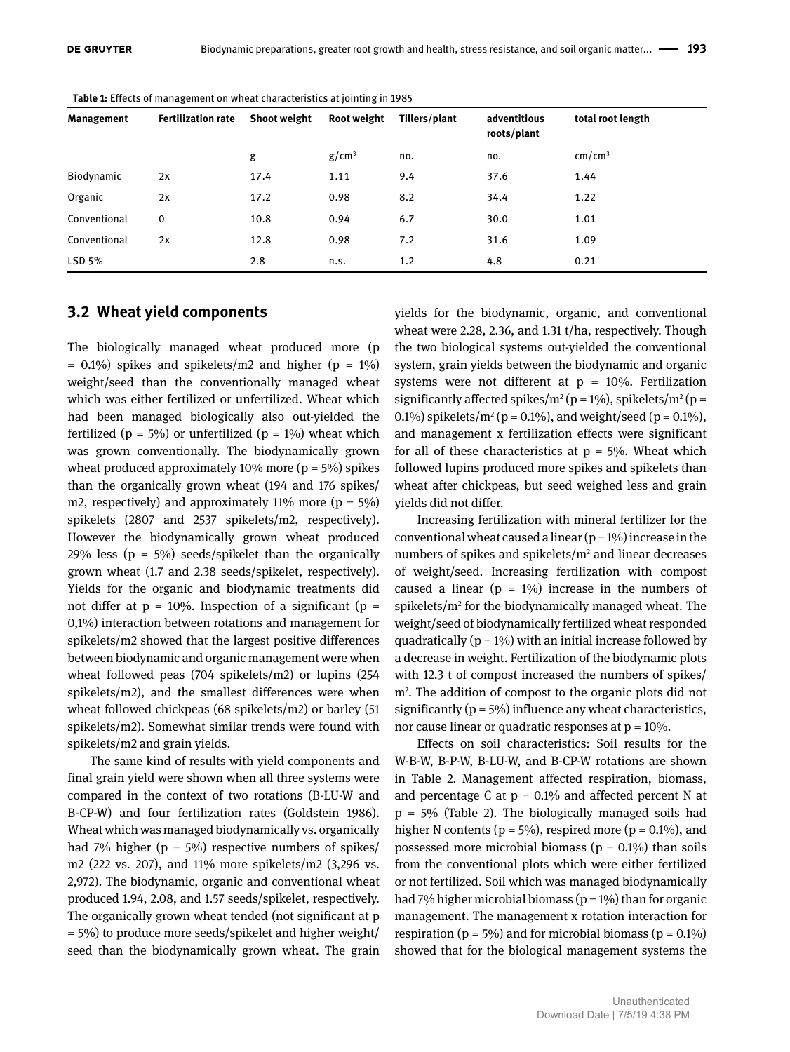| Management   | <b>Fertilization rate</b> | Shoot weight | Root weight | Tillers/plant | adventitious<br>roots/plant | total root length  |
|--------------|---------------------------|--------------|-------------|---------------|-----------------------------|--------------------|
|              |                           | g            | $g/cm^3$    | no.           | no.                         | cm/cm <sup>3</sup> |
| Biodynamic   | 2x                        | 17.4         | 1.11        | 9.4           | 37.6                        | 1.44               |
| Organic      | 2x                        | 17.2         | 0.98        | 8.2           | 34.4                        | 1.22               |
| Conventional | 0                         | 10.8         | 0.94        | 6.7           | 30.0                        | 1.01               |
| Conventional | 2x                        | 12.8         | 0.98        | 7.2           | 31.6                        | 1.09               |
| LSD 5%       |                           | 2.8          | n.s.        | 1.2           | 4.8                         | 0.21               |

**Table 1:** Effects of management on wheat characteristics at jointing in 1985

#### **3.2 Wheat yield components**

The biologically managed wheat produced more (p  $= 0.1\%$ ) spikes and spikelets/m2 and higher (p  $= 1\%$ ) weight/seed than the conventionally managed wheat which was either fertilized or unfertilized. Wheat which had been managed biologically also out-yielded the fertilized ( $p = 5\%$ ) or unfertilized ( $p = 1\%$ ) wheat which was grown conventionally. The biodynamically grown wheat produced approximately 10% more ( $p = 5%$ ) spikes than the organically grown wheat (194 and 176 spikes/ m2, respectively) and approximately 11% more ( $p = 5\%$ ) spikelets (2807 and 2537 spikelets/m2, respectively). However the biodynamically grown wheat produced 29% less ( $p = 5\%$ ) seeds/spikelet than the organically grown wheat (1.7 and 2.38 seeds/spikelet, respectively). Yields for the organic and biodynamic treatments did not differ at  $p = 10\%$ . Inspection of a significant ( $p =$ 0,1%) interaction between rotations and management for spikelets/m2 showed that the largest positive differences between biodynamic and organic management were when wheat followed peas (704 spikelets/m2) or lupins (254 spikelets/m2), and the smallest differences were when wheat followed chickpeas (68 spikelets/m2) or barley (51 spikelets/m2). Somewhat similar trends were found with spikelets/m2 and grain yields.

The same kind of results with yield components and final grain yield were shown when all three systems were compared in the context of two rotations (B-LU-W and B-CP-W) and four fertilization rates (Goldstein 1986). Wheat which was managed biodynamically vs. organically had 7% higher ( $p = 5\%$ ) respective numbers of spikes/ m2 (222 vs. 207), and 11% more spikelets/m2 (3,296 vs. 2,972). The biodynamic, organic and conventional wheat produced 1.94, 2.08, and 1.57 seeds/spikelet, respectively. The organically grown wheat tended (not significant at p = 5%) to produce more seeds/spikelet and higher weight/ seed than the biodynamically grown wheat. The grain

yields for the biodynamic, organic, and conventional wheat were 2.28, 2.36, and 1.31 t/ha, respectively. Though the two biological systems out-yielded the conventional system, grain yields between the biodynamic and organic systems were not different at  $p = 10\%$ . Fertilization significantly affected spikes/m<sup>2</sup> (p = 1%), spikelets/m<sup>2</sup> (p = 0.1%) spikelets/m<sup>2</sup> (p = 0.1%), and weight/seed (p = 0.1%), and management x fertilization effects were significant for all of these characteristics at  $p = 5%$ . Wheat which followed lupins produced more spikes and spikelets than wheat after chickpeas, but seed weighed less and grain yields did not differ.

Increasing fertilization with mineral fertilizer for the conventional wheat caused a linear  $(p = 1\%)$  increase in the numbers of spikes and spikelets/ $m^2$  and linear decreases of weight/seed. Increasing fertilization with compost caused a linear ( $p = 1\%$ ) increase in the numbers of spikelets/m2 for the biodynamically managed wheat. The weight/seed of biodynamically fertilized wheat responded quadratically ( $p = 1\%$ ) with an initial increase followed by a decrease in weight. Fertilization of the biodynamic plots with 12.3 t of compost increased the numbers of spikes/ m2 . The addition of compost to the organic plots did not significantly ( $p = 5\%$ ) influence any wheat characteristics, nor cause linear or quadratic responses at  $p = 10%$ .

Effects on soil characteristics: Soil results for the W-B-W, B-P-W, B-LU-W, and B-CP-W rotations are shown in Table 2. Management affected respiration, biomass, and percentage C at  $p = 0.1\%$  and affected percent N at  $p = 5%$  (Table 2). The biologically managed soils had higher N contents ( $p = 5\%$ ), respired more ( $p = 0.1\%$ ), and possessed more microbial biomass ( $p = 0.1\%$ ) than soils from the conventional plots which were either fertilized or not fertilized. Soil which was managed biodynamically had 7% higher microbial biomass ( $p = 1%$ ) than for organic management. The management x rotation interaction for respiration ( $p = 5\%$ ) and for microbial biomass ( $p = 0.1\%$ ) showed that for the biological management systems the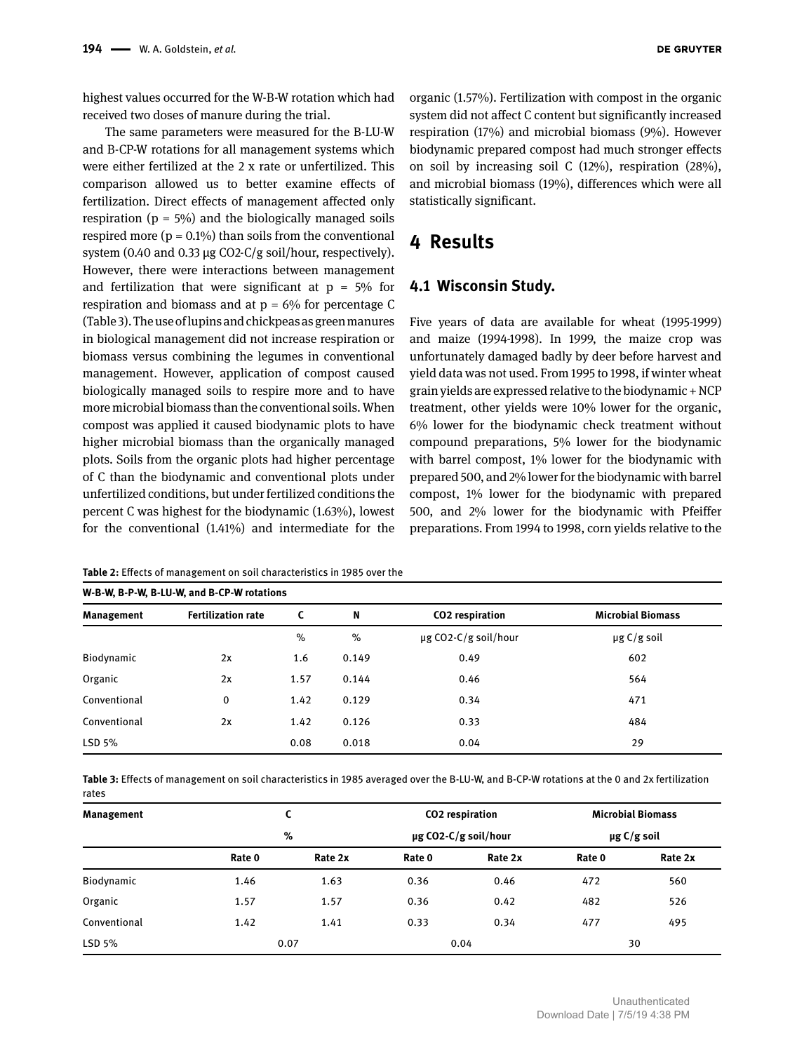highest values occurred for the W-B-W rotation which had received two doses of manure during the trial.

The same parameters were measured for the B-LU-W and B-CP-W rotations for all management systems which were either fertilized at the 2 x rate or unfertilized. This comparison allowed us to better examine effects of fertilization. Direct effects of management affected only respiration ( $p = 5\%$ ) and the biologically managed soils respired more  $(p = 0.1\%)$  than soils from the conventional system (0.40 and 0.33 µg CO2-C/g soil/hour, respectively). However, there were interactions between management and fertilization that were significant at  $p = 5%$  for respiration and biomass and at  $p = 6%$  for percentage C (Table 3). The use of lupins and chickpeas as green manures in biological management did not increase respiration or biomass versus combining the legumes in conventional management. However, application of compost caused biologically managed soils to respire more and to have more microbial biomass than the conventional soils. When compost was applied it caused biodynamic plots to have higher microbial biomass than the organically managed plots. Soils from the organic plots had higher percentage of C than the biodynamic and conventional plots under unfertilized conditions, but under fertilized conditions the percent C was highest for the biodynamic (1.63%), lowest for the conventional (1.41%) and intermediate for the

**Table 2:** Effects of management on soil characteristics in 1985 over the

organic (1.57%). Fertilization with compost in the organic system did not affect C content but significantly increased respiration (17%) and microbial biomass (9%). However biodynamic prepared compost had much stronger effects on soil by increasing soil C (12%), respiration (28%), and microbial biomass (19%), differences which were all statistically significant.

### **4 Results**

#### **4.1 Wisconsin Study.**

Five years of data are available for wheat (1995-1999) and maize (1994-1998). In 1999, the maize crop was unfortunately damaged badly by deer before harvest and yield data was not used. From 1995 to 1998, if winter wheat grain yields are expressed relative to the biodynamic + NCP treatment, other yields were 10% lower for the organic, 6% lower for the biodynamic check treatment without compound preparations, 5% lower for the biodynamic with barrel compost, 1% lower for the biodynamic with prepared 500, and 2% lower for the biodynamic with barrel compost, 1% lower for the biodynamic with prepared 500, and 2% lower for the biodynamic with Pfeiffer preparations. From 1994 to 1998, corn yields relative to the

| W-B-W, B-P-W, B-LU-W, and B-CP-W rotations |                           |      |       |                      |                          |  |  |
|--------------------------------------------|---------------------------|------|-------|----------------------|--------------------------|--|--|
| Management                                 | <b>Fertilization rate</b> | C    | N     | CO2 respiration      | <b>Microbial Biomass</b> |  |  |
|                                            |                           | $\%$ | %     | µg CO2-C/g soil/hour | $\mu$ g C/g soil         |  |  |
| Biodynamic                                 | 2x                        | 1.6  | 0.149 | 0.49                 | 602                      |  |  |
| Organic                                    | 2x                        | 1.57 | 0.144 | 0.46                 | 564                      |  |  |
| Conventional                               | 0                         | 1.42 | 0.129 | 0.34                 | 471                      |  |  |
| Conventional                               | 2x                        | 1.42 | 0.126 | 0.33                 | 484                      |  |  |
| LSD 5%                                     |                           | 0.08 | 0.018 | 0.04                 | 29                       |  |  |

**Table 3:** Effects of management on soil characteristics in 1985 averaged over the B-LU-W, and B-CP-W rotations at the 0 and 2x fertilization rates

| Management   | C      |         | CO <sub>2</sub> respiration |                           | <b>Microbial Biomass</b> |         |  |
|--------------|--------|---------|-----------------------------|---------------------------|--------------------------|---------|--|
|              |        | %       |                             | $\mu$ g CO2-C/g soil/hour | $\mu$ g C/g soil         |         |  |
|              | Rate 0 | Rate 2x | Rate 0                      | Rate 2x                   | Rate 0                   | Rate 2x |  |
| Biodynamic   | 1.46   | 1.63    | 0.36                        | 0.46                      | 472                      | 560     |  |
| Organic      | 1.57   | 1.57    | 0.36                        | 0.42                      | 482                      | 526     |  |
| Conventional | 1.42   | 1.41    | 0.33                        | 0.34                      | 477                      | 495     |  |
| LSD 5%       |        | 0.07    |                             | 0.04                      |                          | 30      |  |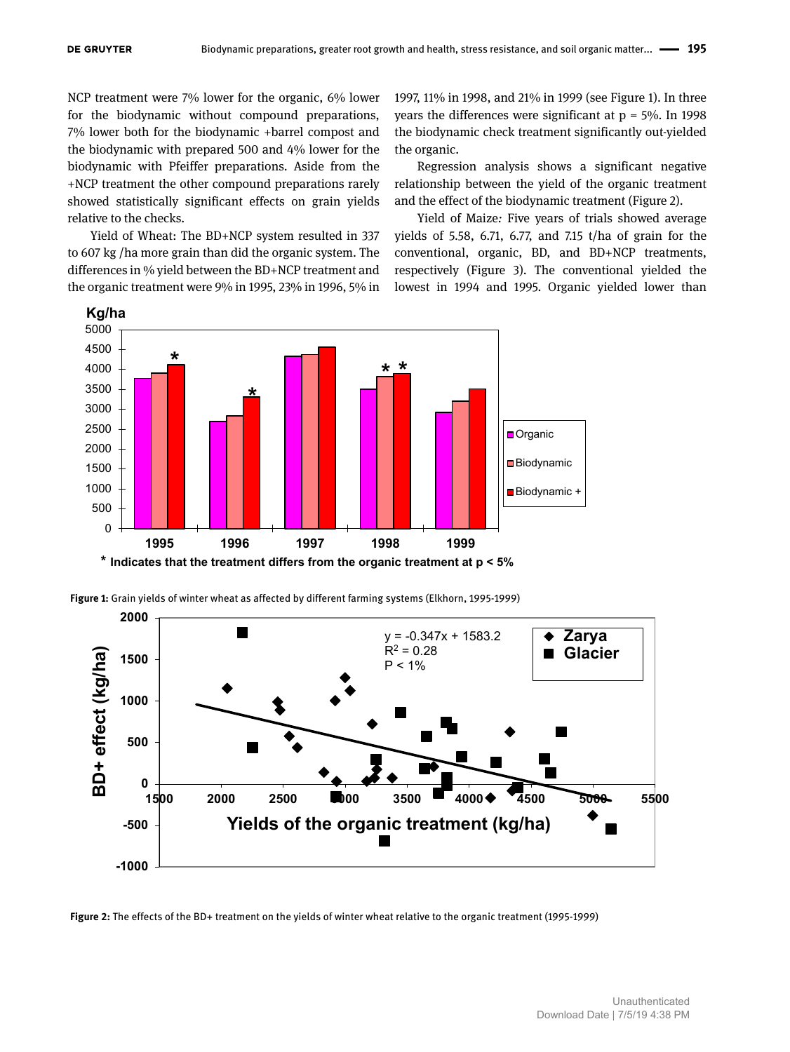NCP treatment were 7% lower for the organic, 6% lower for the biodynamic without compound preparations, 7% lower both for the biodynamic +barrel compost and the biodynamic with prepared 500 and 4% lower for the biodynamic with Pfeiffer preparations. Aside from the +NCP treatment the other compound preparations rarely showed statistically significant effects on grain yields relative to the checks.

Yield of Wheat: The BD+NCP system resulted in 337 to 607 kg /ha more grain than did the organic system. The differences in % yield between the BD+NCP treatment and the organic treatment were 9% in 1995, 23% in 1996, 5% in 1997, 11% in 1998, and 21% in 1999 (see Figure 1). In three years the differences were significant at  $p = 5\%$ . In 1998 the biodynamic check treatment significantly out-yielded the organic.

Regression analysis shows a significant negative relationship between the yield of the organic treatment and the effect of the biodynamic treatment (Figure 2).

Yield of Maize*:* Five years of trials showed average yields of 5.58, 6.71, 6.77, and 7.15 t/ha of grain for the conventional, organic, BD, and BD+NCP treatments, respectively (Figure 3). The conventional yielded the lowest in 1994 and 1995. Organic yielded lower than





**Figure 2:** The effects of the BD+ treatment on the yields of winter wheat relative to the organic treatment (1995-1999)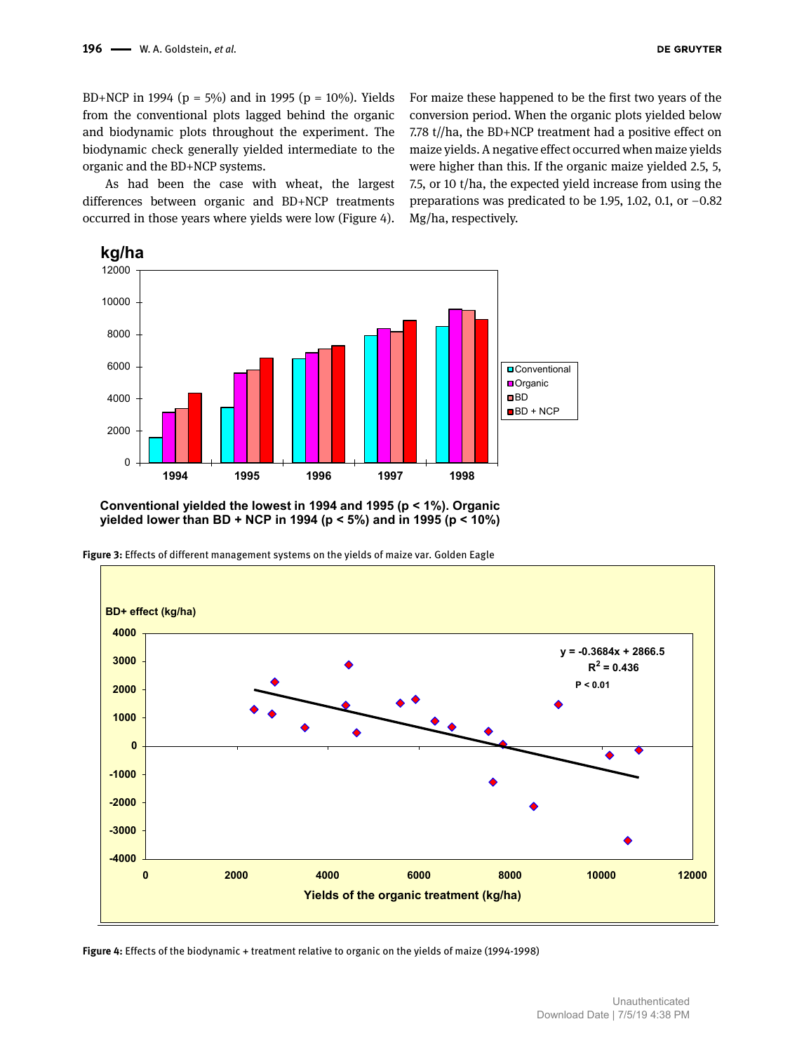BD+NCP in 1994 ( $p = 5\%$ ) and in 1995 ( $p = 10\%$ ). Yields from the conventional plots lagged behind the organic and biodynamic plots throughout the experiment. The biodynamic check generally yielded intermediate to the organic and the BD+NCP systems.

As had been the case with wheat, the largest differences between organic and BD+NCP treatments occurred in those years where yields were low (Figure 4). For maize these happened to be the first two years of the conversion period. When the organic plots yielded below 7.78 t//ha, the BD+NCP treatment had a positive effect on maize yields. A negative effect occurred when maize yields were higher than this. If the organic maize yielded 2.5, 5, 7.5, or 10 t/ha, the expected yield increase from using the preparations was predicated to be 1.95, 1.02, 0.1, or –0.82 Mg/ha, respectively.



**Conventional yielded the lowest in 1994 and 1995 (p < 1%). Organic yielded lower than BD + NCP in 1994 (p < 5%) and in 1995 (p < 10%)**

**Figure 3:** Effects of different management systems on the yields of maize var. Golden Eagle



**Figure 4:** Effects of the biodynamic + treatment relative to organic on the yields of maize (1994-1998)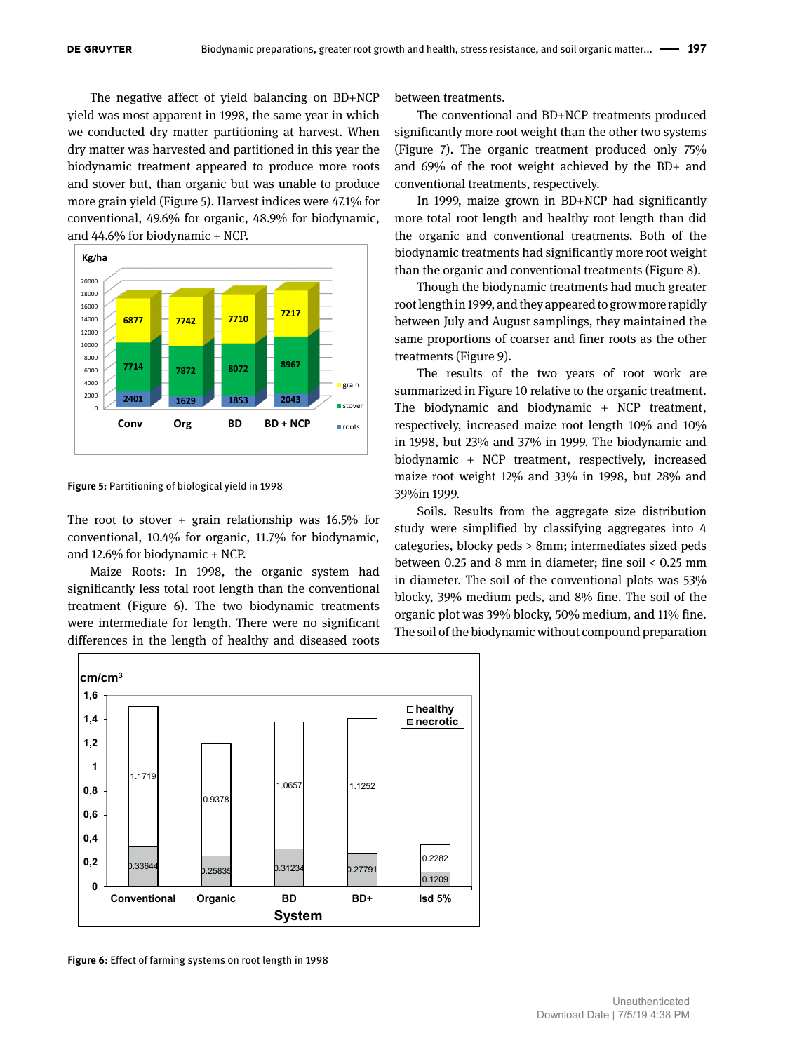The negative affect of yield balancing on BD+NCP yield was most apparent in 1998, the same year in which we conducted dry matter partitioning at harvest. When dry matter was harvested and partitioned in this year the biodynamic treatment appeared to produce more roots and stover but, than organic but was unable to produce more grain yield (Figure 5). Harvest indices were 47.1% for conventional, 49.6% for organic, 48.9% for biodynamic, and 44.6% for biodynamic + NCP.



**Figure 5:** Partitioning of biological yield in 1998

The root to stover  $+$  grain relationship was 16.5% for conventional, 10.4% for organic, 11.7% for biodynamic, and 12.6% for biodynamic + NCP.

Maize Roots: In 1998, the organic system had significantly less total root length than the conventional treatment (Figure 6). The two biodynamic treatments were intermediate for length. There were no significant differences in the length of healthy and diseased roots between treatments.

The conventional and BD+NCP treatments produced significantly more root weight than the other two systems (Figure 7). The organic treatment produced only 75% and 69% of the root weight achieved by the BD+ and conventional treatments, respectively.

In 1999, maize grown in BD+NCP had significantly more total root length and healthy root length than did the organic and conventional treatments. Both of the biodynamic treatments had significantly more root weight than the organic and conventional treatments (Figure 8).

Though the biodynamic treatments had much greater root length in 1999, and they appeared to grow more rapidly between July and August samplings, they maintained the same proportions of coarser and finer roots as the other treatments (Figure 9).

The results of the two years of root work are summarized in Figure 10 relative to the organic treatment. The biodynamic and biodynamic + NCP treatment, respectively, increased maize root length 10% and 10% in 1998, but 23% and 37% in 1999. The biodynamic and biodynamic + NCP treatment, respectively, increased maize root weight 12% and 33% in 1998, but 28% and 39%in 1999.

Soils. Results from the aggregate size distribution study were simplified by classifying aggregates into 4 categories, blocky peds > 8mm; intermediates sized peds between 0.25 and 8 mm in diameter; fine soil < 0.25 mm in diameter. The soil of the conventional plots was 53% blocky, 39% medium peds, and 8% fine. The soil of the organic plot was 39% blocky, 50% medium, and 11% fine. The soil of the biodynamic without compound preparation



**Figure 6:** Effect of farming systems on root length in 1998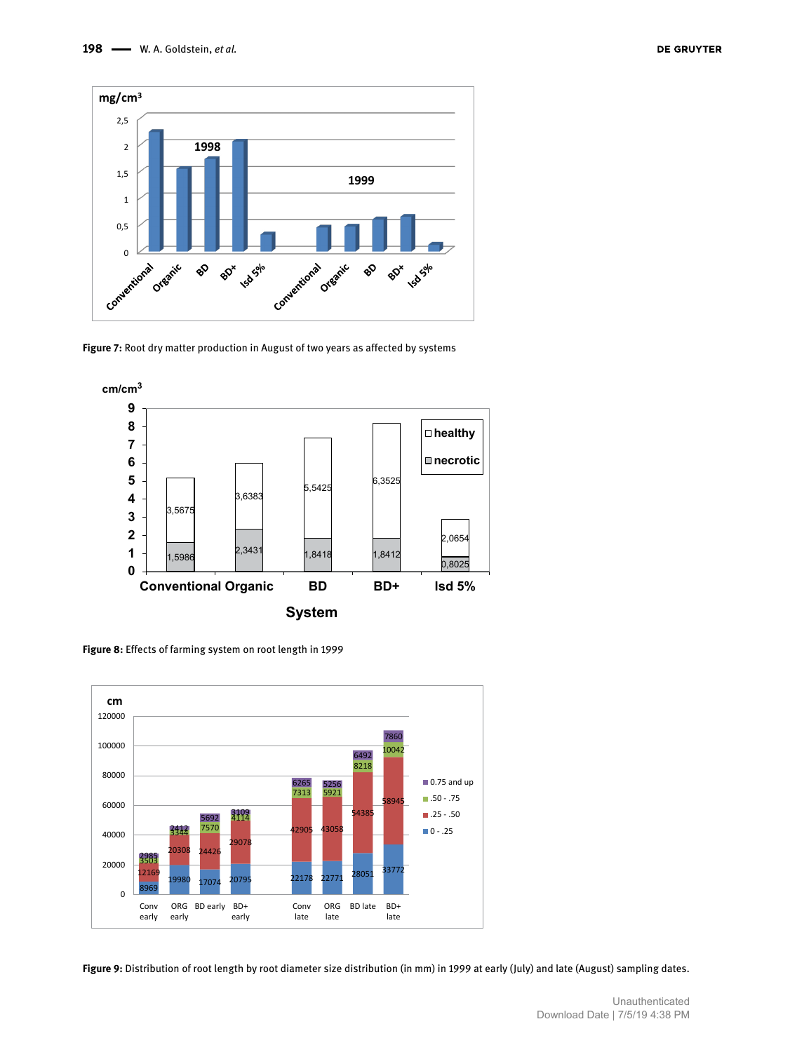

**Figure 7: Root dry matter production in August of two years as affected by systems Figure 7:** Root dry matter production in August of two years as affected by systems



**System Figure 8: Effects of farming system on root length in 1999 Figure 8:** Effects of farming system on root length in 1999



**Figure 9:** Distribution of root length by root diameter size distribution (in mm) in 1999 at early (July) and late (August) sampling dates.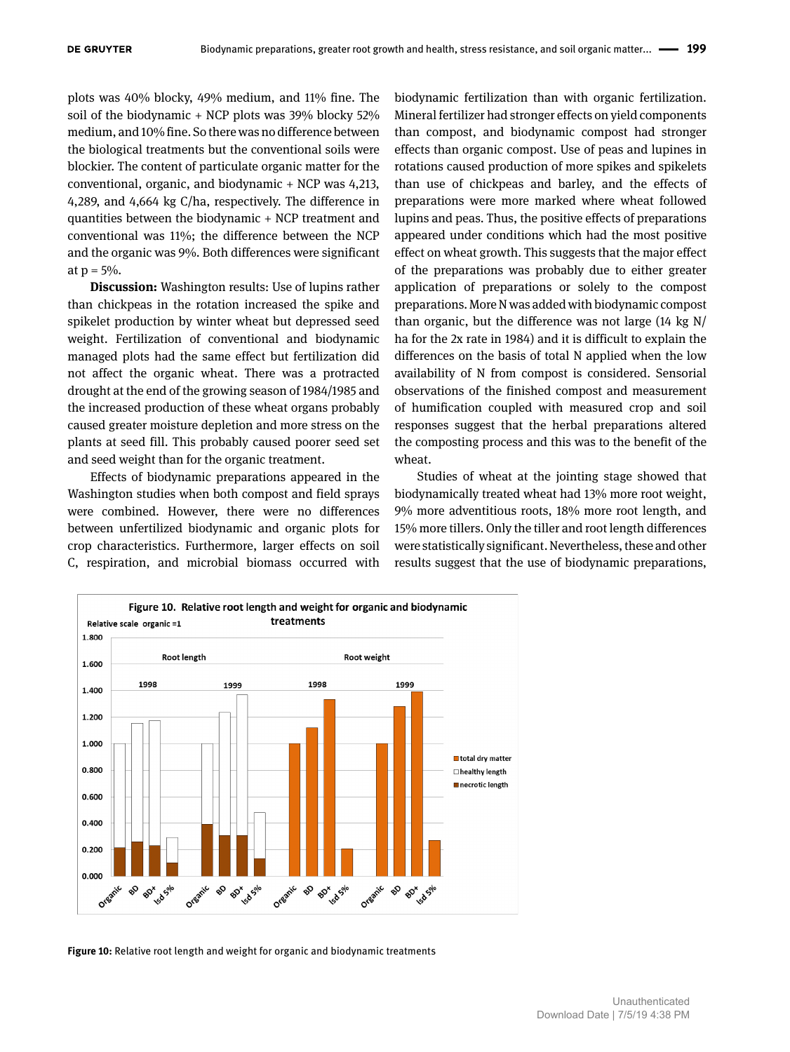plots was 40% blocky, 49% medium, and 11% fine. The soil of the biodynamic + NCP plots was 39% blocky 52% medium, and 10% fine. So there was no difference between the biological treatments but the conventional soils were blockier. The content of particulate organic matter for the conventional, organic, and biodynamic + NCP was 4,213, 4,289, and 4,664 kg C/ha, respectively. The difference in quantities between the biodynamic + NCP treatment and conventional was 11%; the difference between the NCP and the organic was 9%. Both differences were significant at  $p = 5%$ .

**Discussion:** Washington results: Use of lupins rather than chickpeas in the rotation increased the spike and spikelet production by winter wheat but depressed seed weight. Fertilization of conventional and biodynamic managed plots had the same effect but fertilization did not affect the organic wheat. There was a protracted drought at the end of the growing season of 1984/1985 and the increased production of these wheat organs probably caused greater moisture depletion and more stress on the plants at seed fill. This probably caused poorer seed set and seed weight than for the organic treatment.

Effects of biodynamic preparations appeared in the Washington studies when both compost and field sprays were combined. However, there were no differences between unfertilized biodynamic and organic plots for crop characteristics. Furthermore, larger effects on soil C, respiration, and microbial biomass occurred with

biodynamic fertilization than with organic fertilization. Mineral fertilizer had stronger effects on yield components than compost, and biodynamic compost had stronger effects than organic compost. Use of peas and lupines in rotations caused production of more spikes and spikelets than use of chickpeas and barley, and the effects of preparations were more marked where wheat followed lupins and peas. Thus, the positive effects of preparations appeared under conditions which had the most positive effect on wheat growth. This suggests that the major effect of the preparations was probably due to either greater application of preparations or solely to the compost preparations. More N was added with biodynamic compost than organic, but the difference was not large (14 kg N/ ha for the 2x rate in 1984) and it is difficult to explain the differences on the basis of total N applied when the low availability of N from compost is considered. Sensorial observations of the finished compost and measurement of humification coupled with measured crop and soil responses suggest that the herbal preparations altered the composting process and this was to the benefit of the wheat.

Studies of wheat at the jointing stage showed that biodynamically treated wheat had 13% more root weight, 9% more adventitious roots, 18% more root length, and 15% more tillers. Only the tiller and root length differences were statistically significant. Nevertheless, these and other results suggest that the use of biodynamic preparations,



**Figure 10:** Relative root length and weight for organic and biodynamic treatments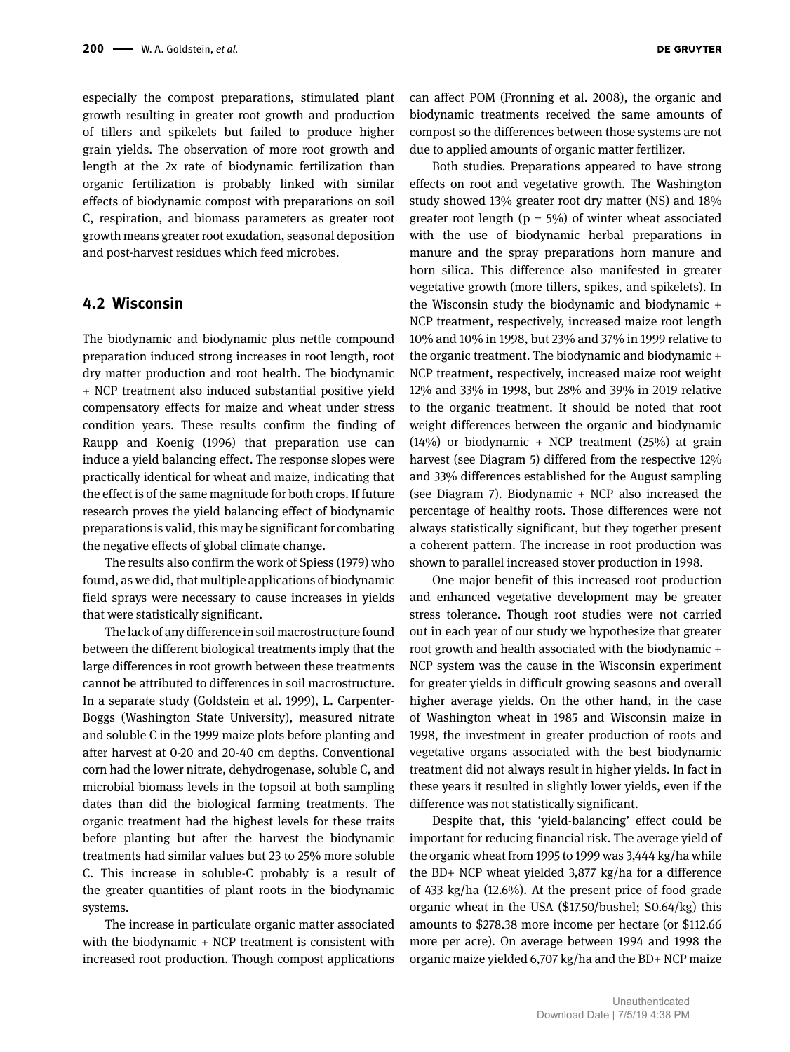especially the compost preparations, stimulated plant growth resulting in greater root growth and production of tillers and spikelets but failed to produce higher grain yields. The observation of more root growth and length at the 2x rate of biodynamic fertilization than organic fertilization is probably linked with similar effects of biodynamic compost with preparations on soil C, respiration, and biomass parameters as greater root growth means greater root exudation, seasonal deposition and post-harvest residues which feed microbes.

#### **4.2 Wisconsin**

The biodynamic and biodynamic plus nettle compound preparation induced strong increases in root length, root dry matter production and root health. The biodynamic + NCP treatment also induced substantial positive yield compensatory effects for maize and wheat under stress condition years. These results confirm the finding of Raupp and Koenig (1996) that preparation use can induce a yield balancing effect. The response slopes were practically identical for wheat and maize, indicating that the effect is of the same magnitude for both crops. If future research proves the yield balancing effect of biodynamic preparations is valid, this may be significant for combating the negative effects of global climate change.

The results also confirm the work of Spiess (1979) who found, as we did, that multiple applications of biodynamic field sprays were necessary to cause increases in yields that were statistically significant.

The lack of any difference in soil macrostructure found between the different biological treatments imply that the large differences in root growth between these treatments cannot be attributed to differences in soil macrostructure. In a separate study (Goldstein et al. 1999), L. Carpenter-Boggs (Washington State University), measured nitrate and soluble C in the 1999 maize plots before planting and after harvest at 0-20 and 20-40 cm depths. Conventional corn had the lower nitrate, dehydrogenase, soluble C, and microbial biomass levels in the topsoil at both sampling dates than did the biological farming treatments. The organic treatment had the highest levels for these traits before planting but after the harvest the biodynamic treatments had similar values but 23 to 25% more soluble C. This increase in soluble-C probably is a result of the greater quantities of plant roots in the biodynamic systems.

The increase in particulate organic matter associated with the biodynamic + NCP treatment is consistent with increased root production. Though compost applications can affect POM (Fronning et al. 2008), the organic and biodynamic treatments received the same amounts of compost so the differences between those systems are not due to applied amounts of organic matter fertilizer.

Both studies. Preparations appeared to have strong effects on root and vegetative growth. The Washington study showed 13% greater root dry matter (NS) and 18% greater root length ( $p = 5\%$ ) of winter wheat associated with the use of biodynamic herbal preparations in manure and the spray preparations horn manure and horn silica. This difference also manifested in greater vegetative growth (more tillers, spikes, and spikelets). In the Wisconsin study the biodynamic and biodynamic + NCP treatment, respectively, increased maize root length 10% and 10% in 1998, but 23% and 37% in 1999 relative to the organic treatment. The biodynamic and biodynamic + NCP treatment, respectively, increased maize root weight 12% and 33% in 1998, but 28% and 39% in 2019 relative to the organic treatment. It should be noted that root weight differences between the organic and biodynamic (14%) or biodynamic + NCP treatment (25%) at grain harvest (see Diagram 5) differed from the respective 12% and 33% differences established for the August sampling (see Diagram 7). Biodynamic + NCP also increased the percentage of healthy roots. Those differences were not always statistically significant, but they together present a coherent pattern. The increase in root production was shown to parallel increased stover production in 1998.

One major benefit of this increased root production and enhanced vegetative development may be greater stress tolerance. Though root studies were not carried out in each year of our study we hypothesize that greater root growth and health associated with the biodynamic + NCP system was the cause in the Wisconsin experiment for greater yields in difficult growing seasons and overall higher average yields. On the other hand, in the case of Washington wheat in 1985 and Wisconsin maize in 1998, the investment in greater production of roots and vegetative organs associated with the best biodynamic treatment did not always result in higher yields. In fact in these years it resulted in slightly lower yields, even if the difference was not statistically significant.

Despite that, this 'yield-balancing' effect could be important for reducing financial risk. The average yield of the organic wheat from 1995 to 1999 was 3,444 kg/ha while the BD+ NCP wheat yielded 3,877 kg/ha for a difference of 433 kg/ha (12.6%). At the present price of food grade organic wheat in the USA (\$17.50/bushel; \$0.64/kg) this amounts to \$278.38 more income per hectare (or \$112.66 more per acre). On average between 1994 and 1998 the organic maize yielded 6,707 kg/ha and the BD+ NCP maize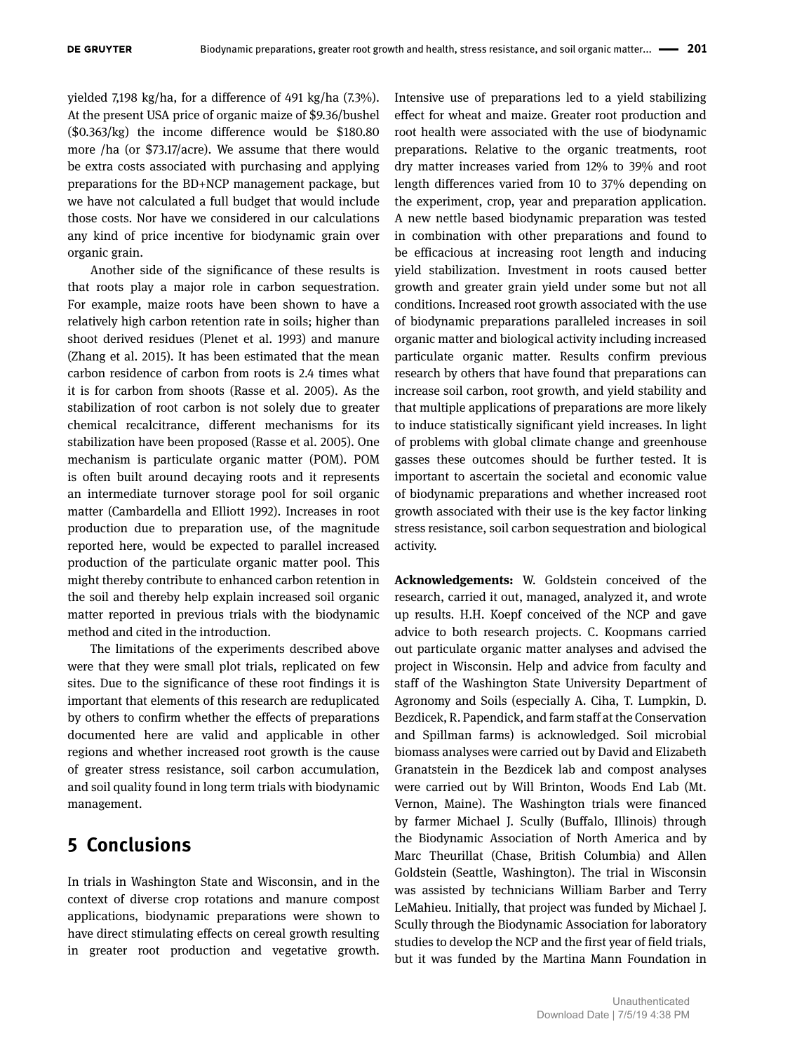yielded 7,198 kg/ha, for a difference of 491 kg/ha (7.3%). At the present USA price of organic maize of \$9.36/bushel (\$0.363/kg) the income difference would be \$180.80 more /ha (or \$73.17/acre). We assume that there would be extra costs associated with purchasing and applying preparations for the BD+NCP management package, but we have not calculated a full budget that would include those costs. Nor have we considered in our calculations any kind of price incentive for biodynamic grain over organic grain.

Another side of the significance of these results is that roots play a major role in carbon sequestration. For example, maize roots have been shown to have a relatively high carbon retention rate in soils; higher than shoot derived residues (Plenet et al. 1993) and manure (Zhang et al. 2015). It has been estimated that the mean carbon residence of carbon from roots is 2.4 times what it is for carbon from shoots (Rasse et al. 2005). As the stabilization of root carbon is not solely due to greater chemical recalcitrance, different mechanisms for its stabilization have been proposed (Rasse et al. 2005). One mechanism is particulate organic matter (POM). POM is often built around decaying roots and it represents an intermediate turnover storage pool for soil organic matter (Cambardella and Elliott 1992). Increases in root production due to preparation use, of the magnitude reported here, would be expected to parallel increased production of the particulate organic matter pool. This might thereby contribute to enhanced carbon retention in the soil and thereby help explain increased soil organic matter reported in previous trials with the biodynamic method and cited in the introduction.

The limitations of the experiments described above were that they were small plot trials, replicated on few sites. Due to the significance of these root findings it is important that elements of this research are reduplicated by others to confirm whether the effects of preparations documented here are valid and applicable in other regions and whether increased root growth is the cause of greater stress resistance, soil carbon accumulation, and soil quality found in long term trials with biodynamic management.

# **5 Conclusions**

In trials in Washington State and Wisconsin, and in the context of diverse crop rotations and manure compost applications, biodynamic preparations were shown to have direct stimulating effects on cereal growth resulting in greater root production and vegetative growth.

Intensive use of preparations led to a yield stabilizing effect for wheat and maize. Greater root production and root health were associated with the use of biodynamic preparations. Relative to the organic treatments, root dry matter increases varied from 12% to 39% and root length differences varied from 10 to 37% depending on the experiment, crop, year and preparation application. A new nettle based biodynamic preparation was tested in combination with other preparations and found to be efficacious at increasing root length and inducing yield stabilization. Investment in roots caused better growth and greater grain yield under some but not all conditions. Increased root growth associated with the use of biodynamic preparations paralleled increases in soil organic matter and biological activity including increased particulate organic matter. Results confirm previous research by others that have found that preparations can increase soil carbon, root growth, and yield stability and that multiple applications of preparations are more likely to induce statistically significant yield increases. In light of problems with global climate change and greenhouse gasses these outcomes should be further tested. It is important to ascertain the societal and economic value of biodynamic preparations and whether increased root growth associated with their use is the key factor linking stress resistance, soil carbon sequestration and biological activity.

**Acknowledgements:** W. Goldstein conceived of the research, carried it out, managed, analyzed it, and wrote up results. H.H. Koepf conceived of the NCP and gave advice to both research projects. C. Koopmans carried out particulate organic matter analyses and advised the project in Wisconsin. Help and advice from faculty and staff of the Washington State University Department of Agronomy and Soils (especially A. Ciha, T. Lumpkin, D. Bezdicek, R. Papendick, and farm staff at the Conservation and Spillman farms) is acknowledged. Soil microbial biomass analyses were carried out by David and Elizabeth Granatstein in the Bezdicek lab and compost analyses were carried out by Will Brinton, Woods End Lab (Mt. Vernon, Maine). The Washington trials were financed by farmer Michael J. Scully (Buffalo, Illinois) through the Biodynamic Association of North America and by Marc Theurillat (Chase, British Columbia) and Allen Goldstein (Seattle, Washington). The trial in Wisconsin was assisted by technicians William Barber and Terry LeMahieu. Initially, that project was funded by Michael J. Scully through the Biodynamic Association for laboratory studies to develop the NCP and the first year of field trials, but it was funded by the Martina Mann Foundation in